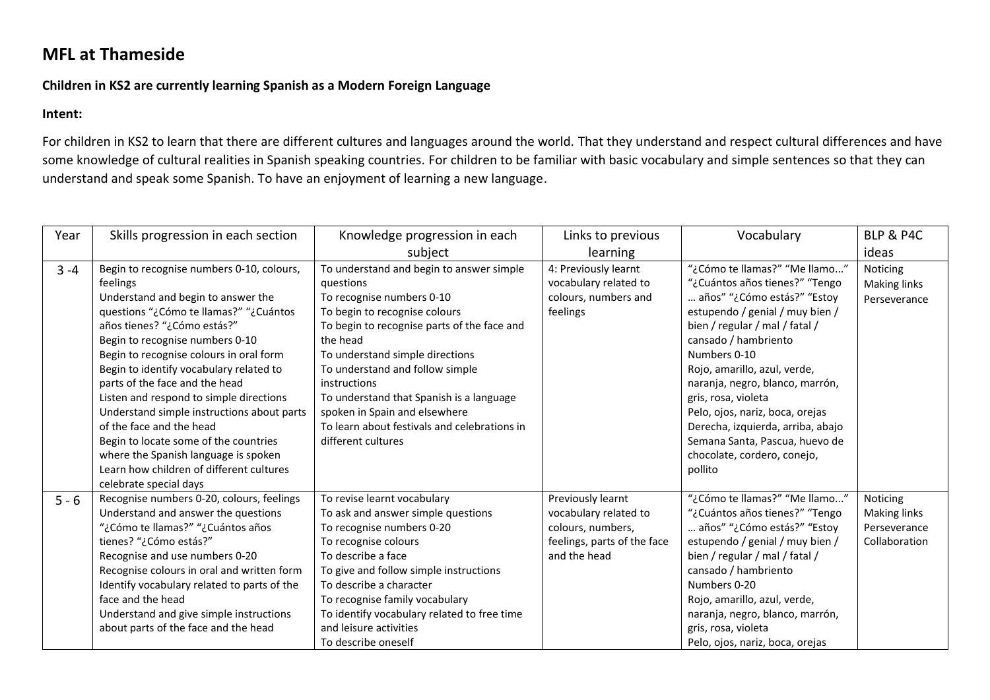## **MFL at Thameside**

## **Children in KS2 are currently learning Spanish as a Modern Foreign Language**

## **Intent:**

For children in KS2 to learn that there are different cultures and languages around the world. That they understand and respect cultural differences and have some knowledge of cultural realities in Spanish speaking countries. For children to be familiar with basic vocabulary and simple sentences so that they can understand and speak some Spanish. To have an enjoyment of learning a new language.

| Year    | Skills progression in each section          | Knowledge progression in each                | Links to previous           | Vocabulary                        | <b>BLP &amp; P4C</b> |
|---------|---------------------------------------------|----------------------------------------------|-----------------------------|-----------------------------------|----------------------|
|         |                                             | subject                                      | learning                    |                                   | ideas                |
| $3 - 4$ | Begin to recognise numbers 0-10, colours,   | To understand and begin to answer simple     | 4: Previously learnt        | "¿Cómo te llamas?" "Me llamo"     | Noticing             |
|         | feelings                                    | questions                                    | vocabulary related to       | "¿Cuántos años tienes?" "Tengo    | <b>Making links</b>  |
|         | Understand and begin to answer the          | To recognise numbers 0-10                    | colours, numbers and        | años" "¿Cómo estás?" "Estoy       | Perseverance         |
|         | guestions "¿Cómo te llamas?" "¿Cuántos      | To begin to recognise colours                | feelings                    | estupendo / genial / muy bien /   |                      |
|         | años tienes? "¿Cómo estás?"                 | To begin to recognise parts of the face and  |                             | bien / regular / mal / fatal /    |                      |
|         | Begin to recognise numbers 0-10             | the head                                     |                             | cansado / hambriento              |                      |
|         | Begin to recognise colours in oral form     | To understand simple directions              |                             | Numbers 0-10                      |                      |
|         | Begin to identify vocabulary related to     | To understand and follow simple              |                             | Rojo, amarillo, azul, verde,      |                      |
|         | parts of the face and the head              | instructions                                 |                             | naranja, negro, blanco, marrón,   |                      |
|         | Listen and respond to simple directions     | To understand that Spanish is a language     |                             | gris, rosa, violeta               |                      |
|         | Understand simple instructions about parts  | spoken in Spain and elsewhere                |                             | Pelo, ojos, nariz, boca, orejas   |                      |
|         | of the face and the head                    | To learn about festivals and celebrations in |                             | Derecha, izquierda, arriba, abajo |                      |
|         | Begin to locate some of the countries       | different cultures                           |                             | Semana Santa, Pascua, huevo de    |                      |
|         | where the Spanish language is spoken        |                                              |                             | chocolate, cordero, conejo,       |                      |
|         | Learn how children of different cultures    |                                              |                             | pollito                           |                      |
|         | celebrate special days                      |                                              |                             |                                   |                      |
| $5 - 6$ | Recognise numbers 0-20, colours, feelings   | To revise learnt vocabulary                  | Previously learnt           | "¿Cómo te llamas?" "Me llamo"     | Noticing             |
|         | Understand and answer the questions         | To ask and answer simple questions           | vocabulary related to       | "¿Cuántos años tienes?" "Tengo    | <b>Making links</b>  |
|         | Como te llamas?" "¿Cuántos años" "¿         | To recognise numbers 0-20                    | colours, numbers,           | años" "¿Cómo estás?" "Estoy       | Perseverance         |
|         | tienes? "¿Cómo estás?"                      | To recognise colours                         | feelings, parts of the face | estupendo / genial / muy bien /   | Collaboration        |
|         | Recognise and use numbers 0-20              | To describe a face                           | and the head                | bien / regular / mal / fatal /    |                      |
|         | Recognise colours in oral and written form  | To give and follow simple instructions       |                             | cansado / hambriento              |                      |
|         | Identify vocabulary related to parts of the | To describe a character                      |                             | Numbers 0-20                      |                      |
|         | face and the head                           | To recognise family vocabulary               |                             | Rojo, amarillo, azul, verde,      |                      |
|         | Understand and give simple instructions     | To identify vocabulary related to free time  |                             | naranja, negro, blanco, marrón,   |                      |
|         | about parts of the face and the head        | and leisure activities                       |                             | gris, rosa, violeta               |                      |
|         |                                             | To describe oneself                          |                             | Pelo, ojos, nariz, boca, orejas   |                      |